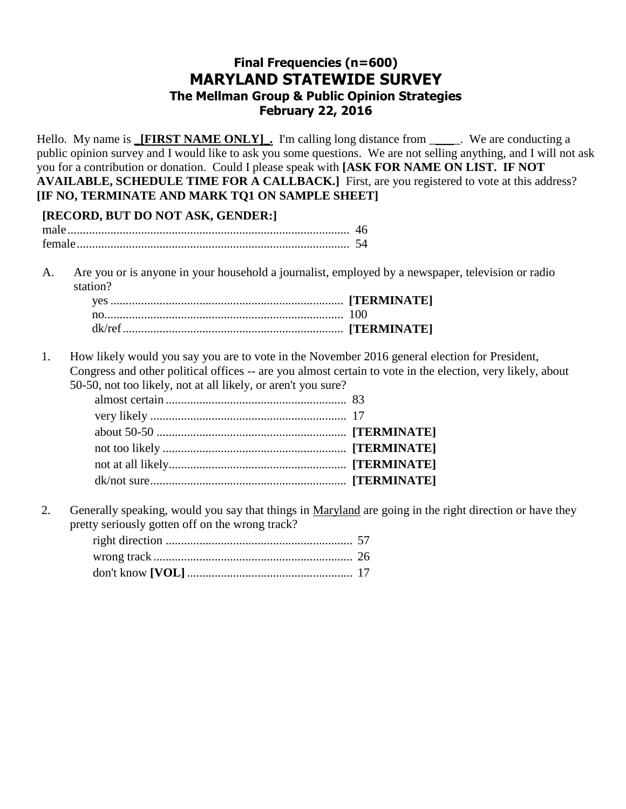# **Final Frequencies (n=600) MARYLAND STATEWIDE SURVEY The Mellman Group & Public Opinion Strategies February 22, 2016**

Hello. My name is **\_[FIRST NAME ONLY]**. I'm calling long distance from \_\_\_\_\_. We are conducting a public opinion survey and I would like to ask you some questions. We are not selling anything, and I will not ask you for a contribution or donation. Could I please speak with **[ASK FOR NAME ON LIST. IF NOT AVAILABLE, SCHEDULE TIME FOR A CALLBACK.]** First, are you registered to vote at this address? **[IF NO, TERMINATE AND MARK TQ1 ON SAMPLE SHEET] [RECORD, BUT DO NOT ASK, GENDER:]** male............................................................................................ 46 female......................................................................................... 54 A. Are you or is anyone in your household a journalist, employed by a newspaper, television or radio station? yes...................................................................................... **[TERMINATE]** no........................................................................................ 100 dk/ref.................................................................................. **[TERMINATE]** 1. How likely would you say you are to vote in the November 2016 general election for President, Congress and other political offices -- are you almost certain to vote in the election, very likely, about 50-50, not too likely, not at all likely, or aren't you sure? almost certain ................................................................ 83.............................................................................. very likely ................................................................................................ 17 ................................................... about 50-50 ................................................................**[TERMINATE]** ................................................................................. not too likely ................................................................**[TERMINATE]** ...............................................................................

2. Generally speaking, would you say that things in Maryland are going in the right direction or have they pretty seriously gotten off on the wrong track?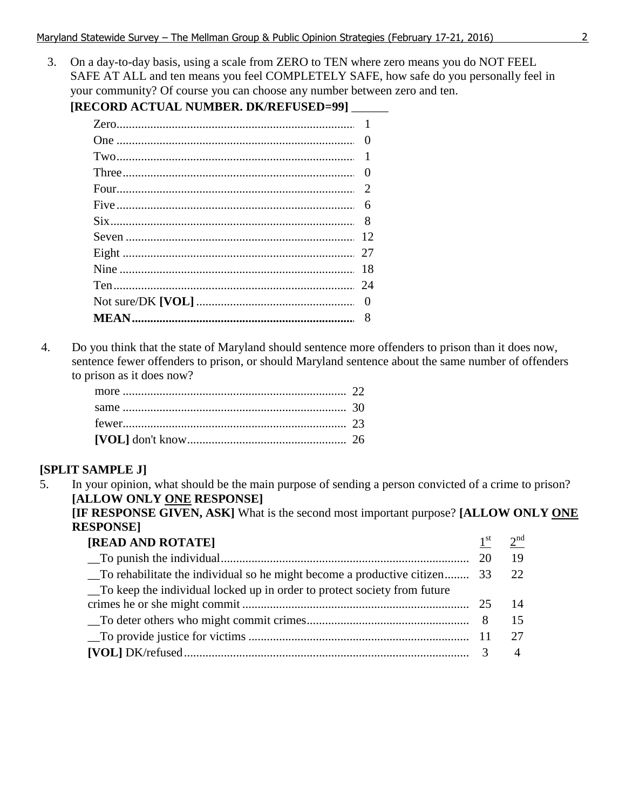3. On a day-to-day basis, using a scale from ZERO to TEN where zero means you do NOT FEEL SAFE AT ALL and ten means you feel COMPLETELY SAFE, how safe do you personally feel in your community? Of course you can choose any number between zero and ten. **[RECORD ACTUAL NUMBER DK/DEFUSED=99]** 

| (ECORD ACTUAL NUMBER. DK/REFUSED=99) |          |
|--------------------------------------|----------|
|                                      |          |
|                                      |          |
|                                      |          |
|                                      | $\theta$ |
|                                      |          |
|                                      | 6        |
|                                      | 8        |
|                                      | 12       |
|                                      | 27       |
|                                      | 18       |
|                                      | 24       |
|                                      | $\theta$ |
|                                      |          |
|                                      |          |

4. Do you think that the state of Maryland should sentence more offenders to prison than it does now, sentence fewer offenders to prison, or should Maryland sentence about the same number of offenders to prison as it does now?

| more $\ldots$ 22 |  |
|------------------|--|
|                  |  |
|                  |  |
|                  |  |

## **[SPLIT SAMPLE J]**

5. In your opinion, what should be the main purpose of sending a person convicted of a crime to prison? **[ALLOW ONLY ONE RESPONSE]** 

**[IF RESPONSE GIVEN, ASK]** What is the second most important purpose? **[ALLOW ONLY ONE RESPONSE]** 

| [READ AND ROTATE]                                                         | 1 <sup>st</sup> | $\lambda$ nd |
|---------------------------------------------------------------------------|-----------------|--------------|
|                                                                           |                 | 19           |
| To rehabilitate the individual so he might become a productive citizen 33 |                 | 22           |
| To keep the individual locked up in order to protect society from future  |                 |              |
|                                                                           |                 |              |
|                                                                           |                 |              |
|                                                                           |                 |              |
|                                                                           |                 |              |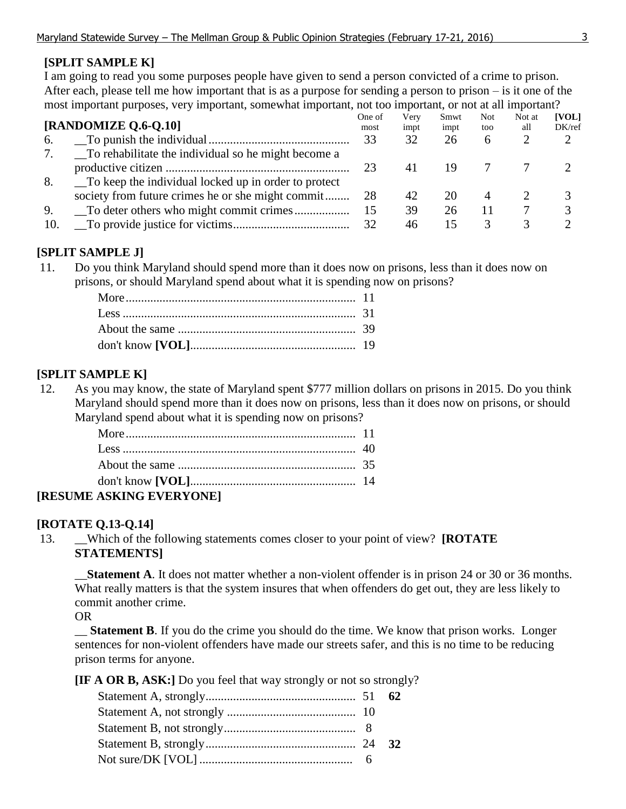# **[SPLIT SAMPLE K]**

I am going to read you some purposes people have given to send a person convicted of a crime to prison. After each, please tell me how important that is as a purpose for sending a person to prison – is it one of the most important purposes, very important, somewhat important, not too important, or not at all important?

|     | [RANDOMIZE Q.6-Q.10]                                 | One of<br>most | Verv<br>impt | Smwt<br>impt | Not.<br>too  | Not at<br>all | <b>[VOL]</b><br>DK/ref |
|-----|------------------------------------------------------|----------------|--------------|--------------|--------------|---------------|------------------------|
| 6.  |                                                      | 33             | 32           | 26           | <sub>6</sub> |               |                        |
|     | To rehabilitate the individual so he might become a  |                |              |              |              |               |                        |
|     |                                                      | 23             | 41           | 19           |              |               |                        |
| 8.  | To keep the individual locked up in order to protect |                |              |              |              |               |                        |
|     | society from future crimes he or she might commit    | 28             | 42           | 20           |              |               |                        |
| 9.  |                                                      | 15             | 39           | 26           |              |               |                        |
| 10. |                                                      | 32             | 46           | ר ו          |              |               |                        |

## **[SPLIT SAMPLE J]**

11. Do you think Maryland should spend more than it does now on prisons, less than it does now on prisons, or should Maryland spend about what it is spending now on prisons?

## **[SPLIT SAMPLE K]**

12. As you may know, the state of Maryland spent \$777 million dollars on prisons in 2015. Do you think Maryland should spend more than it does now on prisons, less than it does now on prisons, or should Maryland spend about what it is spending now on prisons?

| <b>ASKINC EVERVONE!</b> |  |
|-------------------------|--|

# **[RESUME ASKING EVERYONE]**

## **[ROTATE Q.13-Q.14]**

13. \_\_Which of the following statements comes closer to your point of view? **[ROTATE STATEMENTS]**

**Statement A**. It does not matter whether a non-violent offender is in prison 24 or 30 or 36 months. What really matters is that the system insures that when offenders do get out, they are less likely to commit another crime.

## OR

**Statement B.** If you do the crime you should do the time. We know that prison works. Longer sentences for non-violent offenders have made our streets safer, and this is no time to be reducing prison terms for anyone.

**[IF A OR B, ASK:]** Do you feel that way strongly or not so strongly?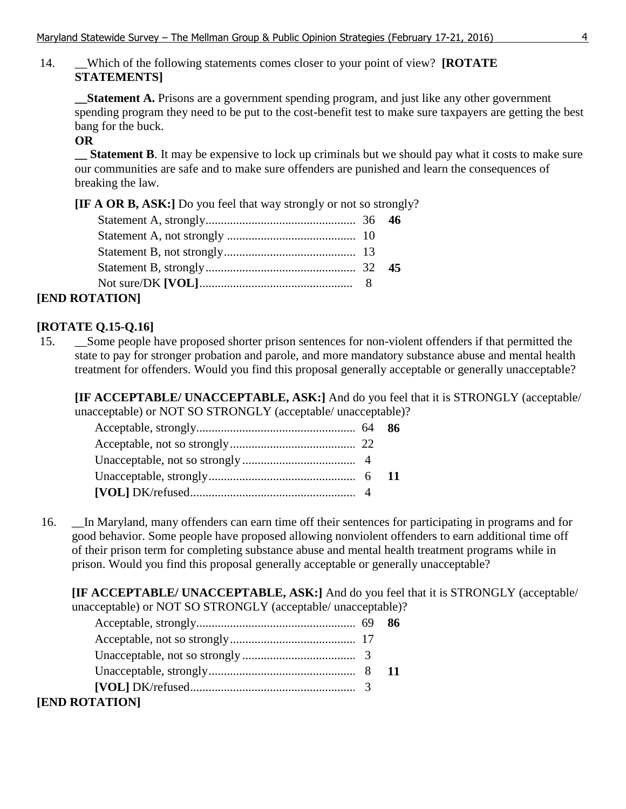## 14. \_\_Which of the following statements comes closer to your point of view? **[ROTATE STATEMENTS]**

**\_\_Statement A.** Prisons are a government spending program, and just like any other government spending program they need to be put to the cost-benefit test to make sure taxpayers are getting the best bang for the buck.

### **OR**

**\_\_ Statement B**. It may be expensive to lock up criminals but we should pay what it costs to make sure our communities are safe and to make sure offenders are punished and learn the consequences of breaking the law*.*

**[IF A OR B, ASK:]** Do you feel that way strongly or not so strongly?

| [END ROTATION] |  |
|----------------|--|

## **[ROTATE Q.15-Q.16]**

15. \_\_Some people have proposed shorter prison sentences for non-violent offenders if that permitted the state to pay for stronger probation and parole, and more mandatory substance abuse and mental health treatment for offenders. Would you find this proposal generally acceptable or generally unacceptable?

**[IF ACCEPTABLE/ UNACCEPTABLE, ASK:]** And do you feel that it is STRONGLY (acceptable/ unacceptable) or NOT SO STRONGLY (acceptable/ unacceptable)?

16. \_\_In Maryland, many offenders can earn time off their sentences for participating in programs and for good behavior. Some people have proposed allowing nonviolent offenders to earn additional time off of their prison term for completing substance abuse and mental health treatment programs while in prison. Would you find this proposal generally acceptable or generally unacceptable?

**[IF ACCEPTABLE/ UNACCEPTABLE, ASK:]** And do you feel that it is STRONGLY (acceptable/ unacceptable) or NOT SO STRONGLY (acceptable/ unacceptable)?

| $[VOL] DK/refused 3$ |  |
|----------------------|--|
| [END ROTATION]       |  |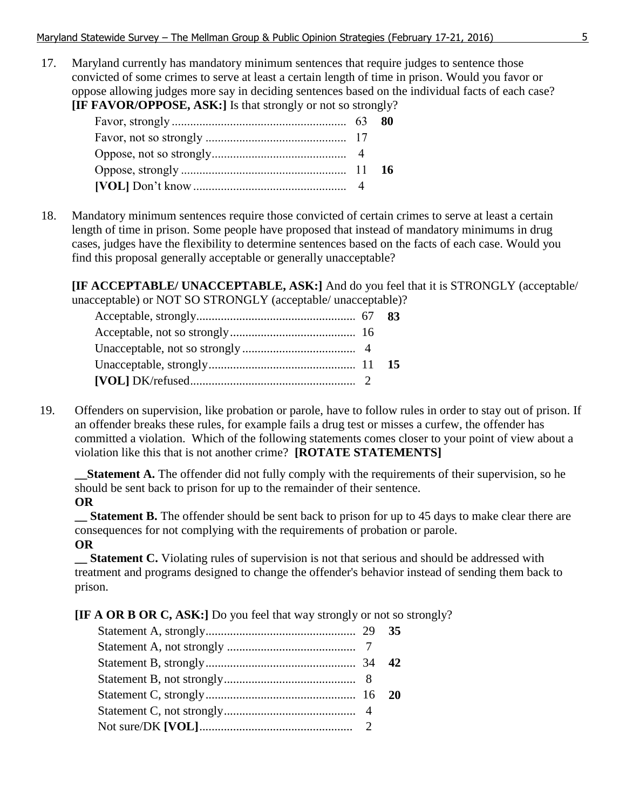17. Maryland currently has mandatory minimum sentences that require judges to sentence those convicted of some crimes to serve at least a certain length of time in prison. Would you favor or oppose allowing judges more say in deciding sentences based on the individual facts of each case? **[IF FAVOR/OPPOSE, ASK:]** Is that strongly or not so strongly?

18. Mandatory minimum sentences require those convicted of certain crimes to serve at least a certain length of time in prison. Some people have proposed that instead of mandatory minimums in drug cases, judges have the flexibility to determine sentences based on the facts of each case. Would you find this proposal generally acceptable or generally unacceptable?

**[IF ACCEPTABLE/ UNACCEPTABLE, ASK:]** And do you feel that it is STRONGLY (acceptable/ unacceptable) or NOT SO STRONGLY (acceptable/ unacceptable)?

19. Offenders on supervision, like probation or parole, have to follow rules in order to stay out of prison. If an offender breaks these rules, for example fails a drug test or misses a curfew, the offender has committed a violation. Which of the following statements comes closer to your point of view about a violation like this that is not another crime? **[ROTATE STATEMENTS]**

**Statement A.** The offender did not fully comply with the requirements of their supervision, so he should be sent back to prison for up to the remainder of their sentence.

**OR**

**Statement B.** The offender should be sent back to prison for up to 45 days to make clear there are consequences for not complying with the requirements of probation or parole.

#### **OR**

**\_\_ Statement C.** Violating rules of supervision is not that serious and should be addressed with treatment and programs designed to change the offender's behavior instead of sending them back to prison.

**[IF A OR B OR C, ASK:]** Do you feel that way strongly or not so strongly?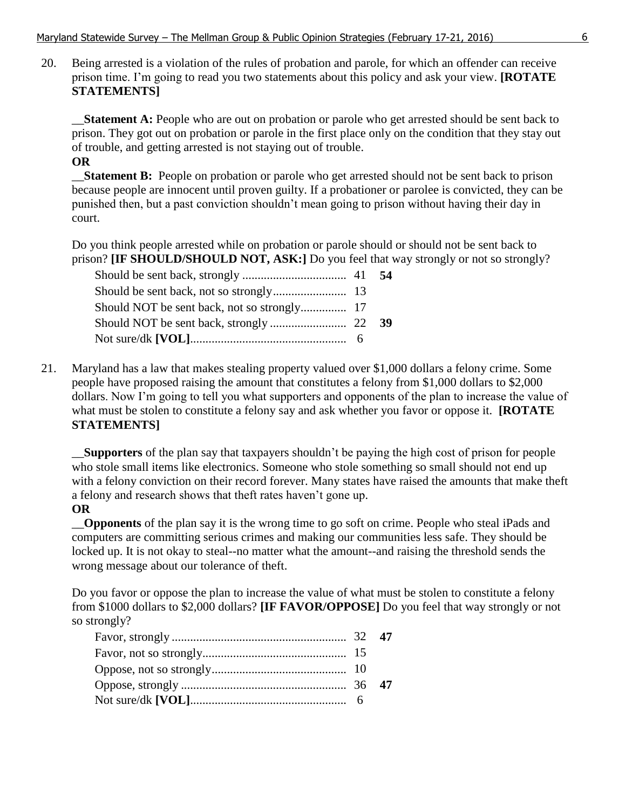20. Being arrested is a violation of the rules of probation and parole, for which an offender can receive prison time. I'm going to read you two statements about this policy and ask your view. **[ROTATE STATEMENTS]** 

\_\_**Statement A:** People who are out on probation or parole who get arrested should be sent back to prison. They got out on probation or parole in the first place only on the condition that they stay out of trouble, and getting arrested is not staying out of trouble.

## **OR**

\_\_**Statement B:** People on probation or parole who get arrested should not be sent back to prison because people are innocent until proven guilty. If a probationer or parolee is convicted, they can be punished then, but a past conviction shouldn't mean going to prison without having their day in court.

Do you think people arrested while on probation or parole should or should not be sent back to prison? **[IF SHOULD/SHOULD NOT, ASK:]** Do you feel that way strongly or not so strongly?

21. Maryland has a law that makes stealing property valued over \$1,000 dollars a felony crime. Some people have proposed raising the amount that constitutes a felony from \$1,000 dollars to \$2,000 dollars. Now I'm going to tell you what supporters and opponents of the plan to increase the value of what must be stolen to constitute a felony say and ask whether you favor or oppose it. **[ROTATE STATEMENTS]**

\_\_**Supporters** of the plan say that taxpayers shouldn't be paying the high cost of prison for people who stole small items like electronics. Someone who stole something so small should not end up with a felony conviction on their record forever. Many states have raised the amounts that make theft a felony and research shows that theft rates haven't gone up.

#### **OR**

\_\_**Opponents** of the plan say it is the wrong time to go soft on crime. People who steal iPads and computers are committing serious crimes and making our communities less safe. They should be locked up. It is not okay to steal--no matter what the amount--and raising the threshold sends the wrong message about our tolerance of theft.

Do you favor or oppose the plan to increase the value of what must be stolen to constitute a felony from \$1000 dollars to \$2,000 dollars? **[IF FAVOR/OPPOSE]** Do you feel that way strongly or not so strongly?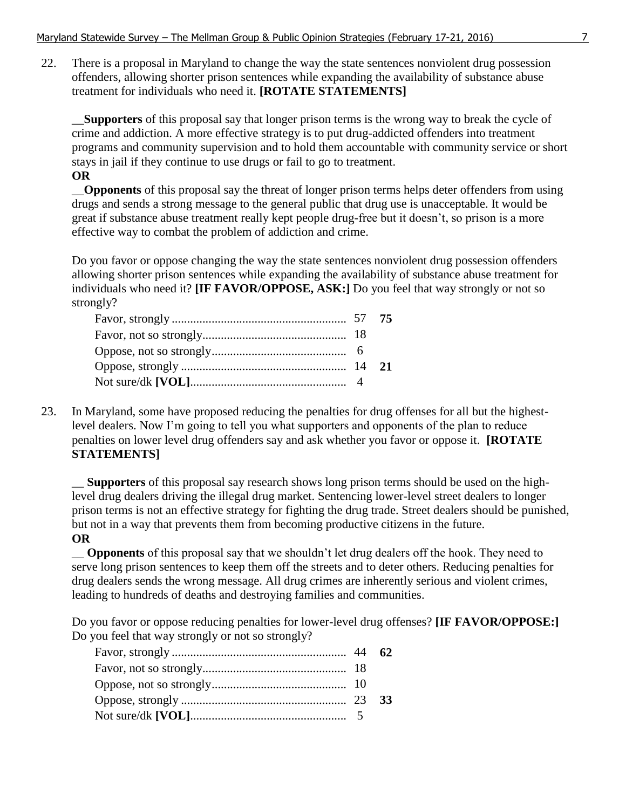22. There is a proposal in Maryland to change the way the state sentences nonviolent drug possession offenders, allowing shorter prison sentences while expanding the availability of substance abuse treatment for individuals who need it. **[ROTATE STATEMENTS]**

\_\_**Supporters** of this proposal say that longer prison terms is the wrong way to break the cycle of crime and addiction. A more effective strategy is to put drug-addicted offenders into treatment programs and community supervision and to hold them accountable with community service or short stays in jail if they continue to use drugs or fail to go to treatment.

**OR**

\_\_**Opponents** of this proposal say the threat of longer prison terms helps deter offenders from using drugs and sends a strong message to the general public that drug use is unacceptable. It would be great if substance abuse treatment really kept people drug-free but it doesn't, so prison is a more effective way to combat the problem of addiction and crime.

Do you favor or oppose changing the way the state sentences nonviolent drug possession offenders allowing shorter prison sentences while expanding the availability of substance abuse treatment for individuals who need it? **[IF FAVOR/OPPOSE, ASK:]** Do you feel that way strongly or not so strongly?

23. In Maryland, some have proposed reducing the penalties for drug offenses for all but the highestlevel dealers. Now I'm going to tell you what supporters and opponents of the plan to reduce penalties on lower level drug offenders say and ask whether you favor or oppose it. **[ROTATE STATEMENTS]**

\_\_ **Supporters** of this proposal say research shows long prison terms should be used on the highlevel drug dealers driving the illegal drug market. Sentencing lower-level street dealers to longer prison terms is not an effective strategy for fighting the drug trade. Street dealers should be punished, but not in a way that prevents them from becoming productive citizens in the future. **OR**

\_\_ **Opponents** of this proposal say that we shouldn't let drug dealers off the hook. They need to serve long prison sentences to keep them off the streets and to deter others. Reducing penalties for drug dealers sends the wrong message. All drug crimes are inherently serious and violent crimes, leading to hundreds of deaths and destroying families and communities.

Do you favor or oppose reducing penalties for lower-level drug offenses? **[IF FAVOR/OPPOSE:]**  Do you feel that way strongly or not so strongly?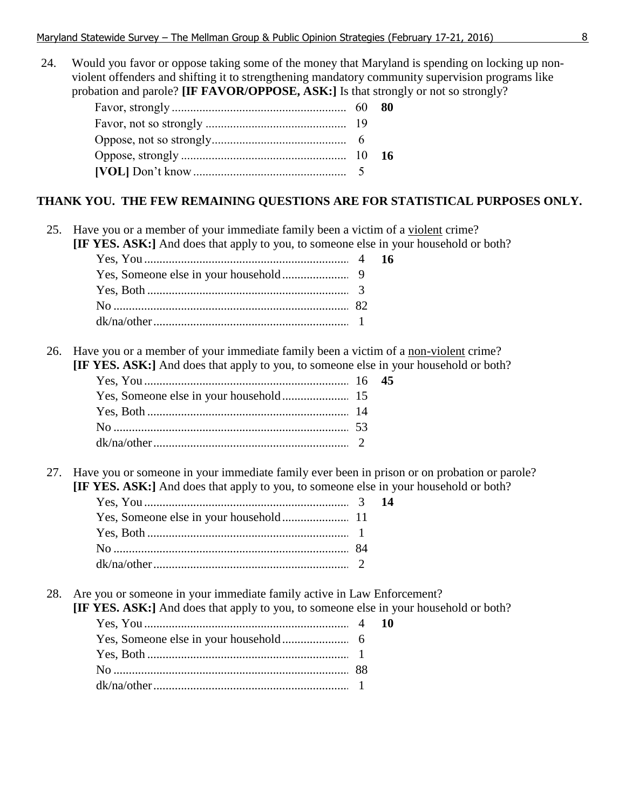24. Would you favor or oppose taking some of the money that Maryland is spending on locking up nonviolent offenders and shifting it to strengthening mandatory community supervision programs like probation and parole? **[IF FAVOR/OPPOSE, ASK:]** Is that strongly or not so strongly?

|  | -80 |
|--|-----|
|  |     |
|  |     |
|  |     |
|  |     |

#### **THANK YOU. THE FEW REMAINING QUESTIONS ARE FOR STATISTICAL PURPOSES ONLY.**

25. Have you or a member of your immediate family been a victim of a violent crime?

**[IF YES. ASK:]** And does that apply to you, to someone else in your household or both?

26. Have you or a member of your immediate family been a victim of a non-violent crime?

|  |  | <b>[IF YES. ASK:]</b> And does that apply to you, to someone else in your household or both? |  |
|--|--|----------------------------------------------------------------------------------------------|--|
|--|--|----------------------------------------------------------------------------------------------|--|

27. Have you or someone in your immediate family ever been in prison or on probation or parole? **[IF YES. ASK:]** And does that apply to you, to someone else in your household or both?

28. Are you or someone in your immediate family active in Law Enforcement?

**[IF YES. ASK:]** And does that apply to you, to someone else in your household or both?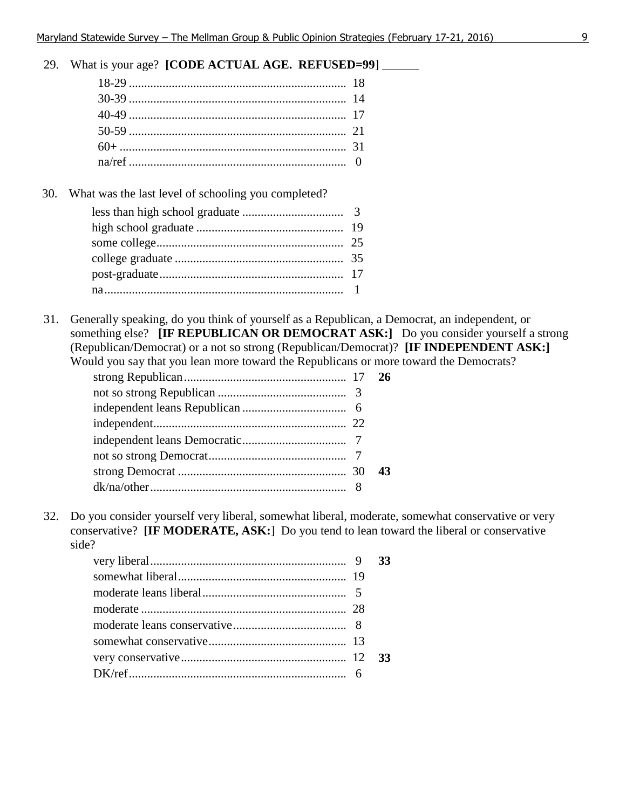29. What is your age? **[CODE ACTUAL AGE. REFUSED=99**] \_\_\_\_\_\_

30. What was the last level of schooling you completed?

31. Generally speaking, do you think of yourself as a Republican, a Democrat, an independent, or something else? **[IF REPUBLICAN OR DEMOCRAT ASK:]** Do you consider yourself a strong (Republican/Democrat) or a not so strong (Republican/Democrat)? **[IF INDEPENDENT ASK:]** Would you say that you lean more toward the Republicans or more toward the Democrats?

|  | 43 |
|--|----|
|  |    |

32. Do you consider yourself very liberal, somewhat liberal, moderate, somewhat conservative or very conservative? **[IF MODERATE, ASK:**] Do you tend to lean toward the liberal or conservative side?